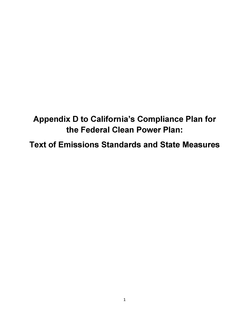# **Appendix D to California's Compliance Plan for the Federal Clean Power Plan:**

**Text of Emissions Standards and State Measures**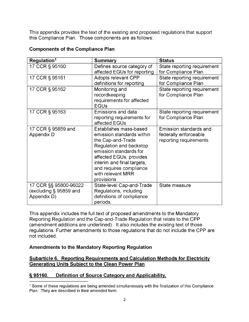This appendix provides the text of the existing and proposed regulations that support this Compliance Plan. Those components are as follows:

| Regulation <sup>1</sup>                                        | <b>Summary</b>                                                                                                                                                                                                                                       | <b>Status</b>                                                             |
|----------------------------------------------------------------|------------------------------------------------------------------------------------------------------------------------------------------------------------------------------------------------------------------------------------------------------|---------------------------------------------------------------------------|
| 17 CCR § 95160                                                 | Defines source category of<br>affected EGUs for reporting                                                                                                                                                                                            | State reporting requirement<br>for Compliance Plan                        |
| 17 CCR § 95161                                                 | <b>Adopts relevant CPP</b><br>definitions for reporting                                                                                                                                                                                              | State reporting requirement<br>for Compliance Plan                        |
| 17 CCR § 95162                                                 | Monitoring and<br>recordkeeping<br>requirements for affected<br><b>EGUs</b>                                                                                                                                                                          | State reporting requirement<br>for Compliance Plan                        |
| 17 CCR § 95163                                                 | Emissions and data<br>reporting requirements for<br>affected EGUs                                                                                                                                                                                    | State reporting requirement<br>for Compliance Plan                        |
| 17 CCR § 95859 and<br>Appendix D                               | Establishes mass-based<br>emission standards within<br>the Cap-and-Trade<br>Regulation and backstop<br>emission standards for<br>affected EGUs, provides<br>interim and final targets,<br>and requires compliance<br>with relevant MRR<br>provisions | Emission standards and<br>federally enforceable<br>reporting requirements |
| 17 CCR §§ 95800-96022<br>(excluding § 95859 and<br>Appendix D) | State-level Cap-and-Trade<br>Regulations, including<br>definitions of compliance<br>periods.                                                                                                                                                         | State measure                                                             |

## **Components of the Compliance Plan**

This appendix includes the full text of proposed amendments to the Mandatory Reporting Regulation and the Cap-and-Trade Regulation that relate to the CPP (amendment additions are underlined). It also includes the existing text of those regulations. Further amendments to those regulations that do not include the CPP are not included.

## **Amendments to the Mandatory Reporting Regulation**

#### **Subarticle 6. Reporting Requirements and Calculation Methods for Electricity Generating Units Subject to the Clean Power Plan**

## **§ 95160. Definition of Source Category and Applicability.**

<span id="page-1-0"></span><sup>1</sup> Some of these regulations are being amended simultaneously with the finalization of this Compliance Plan. They are described in their amended form.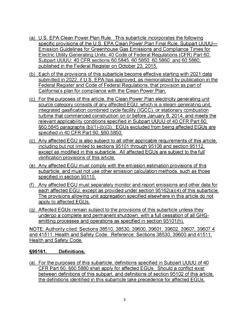- (a) U.S. EPA Clean Power Plan Rule. This subarticle incorporates the following specific provisions of the U.S. EPA Clean Power Plan Final Rule, Subpart UUUU— Emission Guidelines for Greenhouse Gas Emissions and Compliance Times for Electric Utility Generating Units; 40 Code of Federal Regulations (CFR) Part 60, Subpart UUUU: 40 CFR sections 60.5845, 60.5850, 60.5860, and 60.5880, published in the Federal Register on October 23, 2015.
- (b) Each of the provisions of this subarticle become effective starting with 2021 data submitted in 2022, if U.S. EPA has approved, as memorialized by publication in the Federal Register and Code of Federal Regulations, that provision as part of California's plan for compliance with the Clean Power Plan.
- (c) For the purposes of this article, the Clean Power Plan electricity generating unit source category consists of any affected EGU, which is a steam generating unit, integrated gasification combined cycle facility (IGCC), or stationary combustion turbine that commenced construction on or before January 8, 2014, and meets the relevant applicability conditions specified in Subpart UUUU of 40 CFR Part 60, §60.5845 paragraphs (b)(1)-(b)(3). EGUs excluded from being affected EGUs are specified in 40 CFR Part 60, §60.5850.
- (c) Any affected EGU is also subject to all other applicable requirements of this article, including but not limited to sections 95101 through 95108 and section 95112, except as modified in this subarticle. All affected EGUs are subject to the full verification provisions of this article.
- (e) Any affected EGU must comply with the emission estimation provisions of this subarticle, and must not use other emission calculation methods, such as those specified in section 95115.
- (f) Any affected EGU must separately monitor and report emissions and other data for each affected EGU, except as provided under section 95162(a)(4) of this subarticle. The provisions allowing unit aggregation specified elsewhere in this article do not apply to affected EGUs.
- (g) Affected EGUs remain subject to the provisions of this subarticle unless they undergo a complete and permanent shutdown, with a full cessation of all GHGemitting processes and operations as specified in section 95101(h).

NOTE: Authority cited: Sections 38510, 38530, 39600, 39601, 39602, 39607, 39607.4 and 41511, Health and Safety Code. Reference: Sections 38530, 39600 and 41511, Health and Safety Code.

## **§95161. Definitions.**

(a) For the purposes of this subarticle, definitions specified in Subpart UUUU of 40 CFR Part 60, §60.5880 shall apply for affected EGUs. Should a conflict exist between definitions of this subpart, and definitions of section 95102 of this article, the definitions identified in this subarticle take precedence for affected EGUs.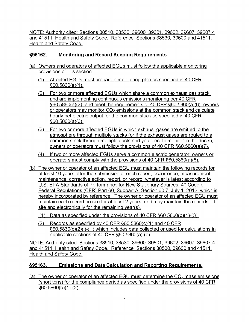NOTE: Authority cited: Sections 38510, 38530, 39600, 39601, 39602, 39607, 39607.4 and 41511, Health and Safety Code. Reference: Sections 38530, 39600 and 41511, Health and Safety Code.

## **§95162. Monitoring and Record Keeping Requirements**

- (a) Owners and operators of affected EGUs must follow the applicable monitoring provisions of this section.
	- (1) Affected EGUs must prepare a monitoring plan as specified in 40 CFR §60.5860(a)(1).
	- (2) For two or more affected EGUs which share a common exhaust gas stack, and are implementing continuous emissions monitoring per 40 CFR §60.5860(a)(3), and meet the requirements of 40 CFR §60.5860(a)(6), owners or operators may monitor CO<sub>2</sub> emissions at the common stack and calculate hourly net electric output for the common stack as specified in 40 CFR §60.5860(a)(6).
	- (3) For two or more affected EGUs in which exhaust gases are emitted to the atmosphere through multiple stacks (or if the exhaust gases are routed to a common stack through multiple ducts and you elect to monitor in the ducts), owners or operators must follow the provisions of 40 CFR §60.5860(a)(7).
	- (4) If two or more affected EGUs serve a common electric generator, owners or operators must comply with the provisions of 40 CFR §60.5860(a)(8).
- (b) The owner or operator of an affected EGU must maintain the following records for at least 10 years after the submission of each report, occurrence, measurement, maintenance, corrective action, report, or record, whatever is latest according to U.S. EPA Standards of Performance for New Stationary Sources, 40 Code of Federal Regulations (CFR) Part 60, Subpart A, Section 60.7, July 1,2012, which is hereby incorporated by reference. The owner or operator of an affected EGU must maintain each record on site for at least 2 years, and may maintain the records off site and electronically for the remaining year(s).
	- (1) Data as specified under the provisions of 40 CFR §60.5860(b)(1)-(3).
	- (2) Records as specified by 40 CFR  $\S60.5860(c)(1)$  and 40 CFR §60.5860(c)(2)(i)-(iii) which includes data collected or used for calculations in applicable sections of 40 CFR §60.5860(a)-(b).

NOTE: Authority cited: Sections 38510, 38530, 39600, 39601, 39602, 39607, 39607.4 and 41511, Health and Safety Code. Reference: Sections 38530, 39600 and 41511, Health and Safety Code.

## **§95163. Emissions and Data Calculation and Reporting Requirements.**

(a) The owner or operator of an affected EGU must determine the  $CO<sub>2</sub>$  mass emissions (short tons) for the compliance period as specified under the provisions of 40 CFR §60.5860(b)(1)-(2).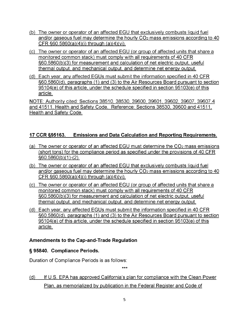- (b) The owner or operator of an affected EGU that exclusively combusts liquid fuel and/or gaseous fuel may determine the hourly CO<sub>2</sub> mass emissions according to 40 CFR §60.5860(a)(4)(i) through (a)(4)(vi).
- (c) The owner or operator of an affected EGU (or group of affected units that share a monitored common stack) must comply with all requirements of 40 CFR §60.5860(b)(3) for measurement and calculation of net electric output, useful thermal output, and mechanical output, and determine net energy output.
- (d) Each year, any affected EGUs must submit the information specified in 40 CFR §60.5860(d), paragraphs (1) and (3) to the Air Resources Board pursuant to section 95104(e) of this article, under the schedule specified in section 95103(e) of this article.

NOTE: Authority cited: Sections 38510, 38530, 39600, 39601, 39602, 39607, 39607.4 and 41511, Health and Safety Code. Reference: Sections 38530, 39600 and 41511, Health and Safety Code.

## **17 CCR §95163. Emissions and Data Calculation and Reporting Requirements.**

- (a) The owner or operator of an affected EGU must determine the  $CO<sub>2</sub>$  mass emissions (short tons) for the compliance period as specified under the provisions of 40 CFR §60.5860(b)(1)-(2).
- (b) The owner or operator of an affected EGU that exclusively combusts liquid fuel and/or gaseous fuel may determine the hourly  $CO<sub>2</sub>$  mass emissions according to 40 CFR §60.5860(a)(4)(i) through (a)(4)(vi).
- (c) The owner or operator of an affected EGU (or group of affected units that share a monitored common stack) must comply with all requirements of 40 CFR §60.5860(b)(3) for measurement and calculation of net electric output, useful thermal output, and mechanical output, and determine net energy output.
- (d) Each year, any affected EGUs must submit the information specified in 40 CFR §60.5860(d), paragraphs (1) and (3) to the Air Resources Board pursuant to section 95104(e) of this article, under the schedule specified in section 95103(e) of this article.

## **Amendments to the Cap-and-Trade Regulation**

## **§ 95840. Compliance Periods.**

Duration of Compliance Periods is as follows:

(d) If U.S. EPA has approved California's plan for compliance with the Clean Power Plan, as memorialized by publication in the Federal Register and Code of

\*\*\*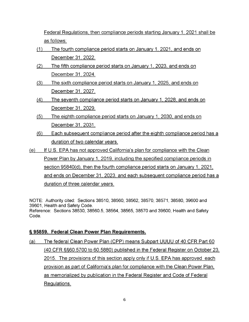Federal Regulations, then compliance periods starting January 1,2021 shall be as follows:

- (1) The fourth compliance period starts on January 1,2021, and ends on December 31,2022.
- (2) The fifth compliance period starts on January 1, 2023, and ends on December 31,2024.
- (3) The sixth compliance period starts on January 1,2025, and ends on December 31,2027.
- (4) The seventh compliance period starts on January 1,2028, and ends on December 31,2029.
- (5) The eighth compliance period starts on January 1,2030, and ends on December 31,2031.
- (6) Each subsequent compliance period after the eighth compliance period has a duration of two calendar years.
- (e) If U.S. EPA has not approved California's plan for compliance with the Clean Power Plan by January 1, 2019, including the specified compliance periods in section 95840(d), then the fourth compliance period starts on January 1, 2021, and ends on December 31, 2023, and each subsequent compliance period has a duration of three calendar years.

NOTE: Authority cited: Sections 38510, 38560, 38562, 38570, 38571, 38580, 39600 and 39601, Health and Safety Code. Reference: Sections 38530, 38560.5, 38564, 38565, 38570 and 39600, Health and Safety Code.

#### **§ 95859. Federal Clean Power Plan Requirements.**

(a) The federal Clean Power Plan (CPP) means Subpart UUUU of 40 CFR Part 60 (40 CFR §§60.5700 to 60.5880) published in the Federal Register on October 23, 2015. The provisions of this section apply only if U.S. EPA has approved each provision as part of California's plan for compliance with the Clean Power Plan, as memorialized by publication in the Federal Register and Code of Federal Regulations.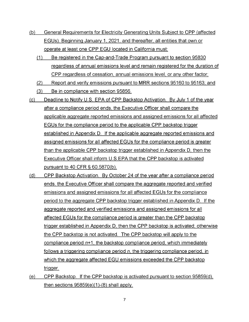- (b) General Requirements for Electricity Generating Units Subject to CPP (affected EGUs). Beginning January 1,2021, and thereafter, all entities that own or operate at least one CPP EGU located in California must:
	- (1) Be registered in the Cap-and-Trade Program pursuant to section 95830 regardless of annual emissions level and remain registered for the duration of CPP regardless of cessation, annual emissions level, or any other factor;
	- (2) Report and verify emissions pursuant to MRR sections 95160 to 95163; and
	- (3) Be in compliance with section 95856.
- (c) Deadline to Notify U.S. EPA of CPP Backstop Activation. By July <sup>1</sup> of the year after a compliance period ends, the Executive Officer shall compare the applicable aggregate reported emissions and assigned emissions for all affected EGUs for the compliance period to the applicable CPP backstop trigger established in Appendix D. If the applicable aggregate reported emissions and assigned emissions for all affected EGUs for the compliance period is greater than the applicable CPP backstop trigger established in Appendix D, then the Executive Officer shall inform U.S.EPA that the CPP backstop is activated pursuant to 40 CFR § 60.5870(b).
- (d) CPP Backstop Activation. By October 24 of the year after a compliance period ends, the Executive Officer shall compare the aggregate reported and verified emissions and assigned emissions for all affected EGUs for the compliance period to the aggregate CPP backstop trigger established in Appendix D. If the aggregate reported and verified emissions and assigned emissions for all affected EGUs for the compliance period is greater than the CPP backstop trigger established in Appendix D, then the CPP backstop is activated; otherwise the CPP backstop is not activated. The CPP backstop will apply to the compliance period *n*+1, the backstop compliance period, which immediately follows a triggering compliance period *n,* the triggering compliance period*,* in which the aggregate affected EGU emissions exceeded the CPP backstop trigger.
- (e) CPP Backstop. If the CPP backstop is activated pursuant to section 95859(d), then sections 95859(e)(1)-(8) shall apply.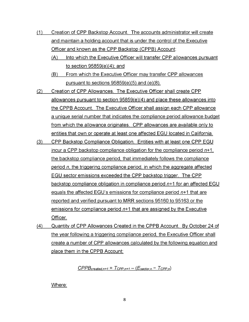- (1) Creation of CPP Backstop Account. The accounts administrator will create and maintain a holding account that is under the control of the Executive Officer and known as the CPP Backstop (CPPB) Account:
	- (A) Into which the Executive Officer will transfer CPP allowances pursuant to section 95859(e)(4); and
	- (B) From which the Executive Officer may transfer CPP allowances pursuant to sections 95859(e)(5) and (e)(8).
- (2) Creation of CPP Allowances. The Executive Officer shall create CPP allowances pursuant to section 95859(e)(4) and place these allowances into the CPPB Account. The Executive Officer shall assign each CPP allowance a unique serial number that indicates the compliance period allowance budget from which the allowance originates. CPP allowances are available only to entities that own or operate at least one affected EGU located in California.
- (3) CPP Backstop Compliance Obligation. Entities with at least one CPP EGU incur a CPP backstop compliance obligation for the compliance period *n*+1, the backstop compliance period, that immediately follows the compliance period *n*, the triggering compliance period, in which the aggregate affected EGU sector emissions exceeded the CPP backstop trigger. The CPP backstop compliance obligation in compliance period *n*+1 for an affected EGU equals the affected EGU's emissions for compliance period *n*+1 that are reported and verified pursuant to MRR sections 95160 to 95163 or the emissions for compliance period *n*+1 that are assigned by the Executive Officer.
- (4) Quantity of CPP Allowances Created in the CPPB Account. By October 24 of the year following a triggering compliance period, the Executive Officer shall create a number of CPP allowances calculated by the following equation and place them in the CPPB Account:

 $CPPB_{\text{created},n+1} = T_{\text{CPP},n+1} - (E_{\text{sector},n} - T_{\text{CPP},n})$ 

Where: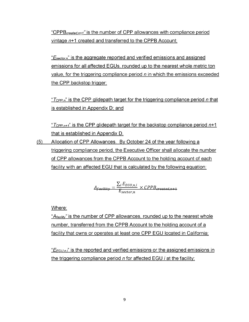"CPPB*created,n+1'* is the number of CPP allowances with compliance period vintage *n*+1 created and transferred to the CPPB Account;

"*Esector,n*" is the aggregate reported and verified emissions and assigned emissions for all affected EGUs, rounded up to the nearest whole metric ton value, for the triggering compliance period *n* in which the emissions exceeded the CPP backstop trigger;

"*Tcpp,n*" is the CPP glidepath target for the triggering compliance period *n* that is established in Appendix D; and

" $T_{CPP,n+1}$ " is the CPP glidepath target for the backstop compliance period  $n+1$ that is established in Appendix D.

(5) Allocation of CPP Allowances. By October 24 of the year following a triggering compliance period, the Executive Officer shall allocate the number of CPP allowances from the CPPB Account to the holding account of each facility with an affected EGU that is calculated by the following equation:

$$
A_{facility} = \frac{\sum_{i} E_{EGU,n,i}}{E_{sector,n}} \times CPPB_{created,n+1}
$$

Where:

"*Afacility"* is the number of CPP allowances, rounded up to the nearest whole number, transferred from the CPPB Account to the holding account of a facility that owns or operates at least one CPP EGU located in California;

"*EEGu,n,i*" is the reported and verified emissions or the assigned emissions in the triggering compliance period *n* for affected EGU *i* at the facility;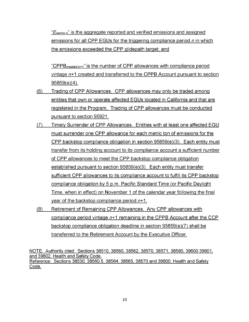"*Esector,n*" is the aggregate reported and verified emissions and assigned emissions for all CPP EGUs for the triggering compliance period *n* in which the emissions exceeded the CPP glidepath target; and

"CPPB*created,n+i"* is the number of CPP allowances with compliance period vintage *n*+1 created and transferred to the CPPB Account pursuant to section 95859(e)(4).

- (6) Trading of CPP Allowances. CPP allowances may only be traded among entities that own or operate affected EGUs located in California and that are registered in the Program. Trading of CPP allowances must be conducted pursuant to section 95921.
- (7) Timely Surrender of CPP Allowances. Entities with at least one affected EGU must surrender one CPP allowance for each metric ton of emissions for the CPP backstop compliance obligation in section 95859(e)(3). Each entity must transfer from its holding account to its compliance account a sufficient number of CPP allowances to meet the CPP backstop compliance obligation established pursuant to section 95859(e)(3). Each entity must transfer sufficient CPP allowances to its compliance account to fulfill its CPP backstop compliance obligation by 5 p.m. Pacific Standard Time (or Pacific Daylight Time, when in effect) on November <sup>1</sup> of the calendar year following the final year of the backstop compliance period *n*+1.
- (8) Retirement of Remaining CPP Allowances. Any CPP allowances with compliance period vintage *n*+1 remaining in the CPPB Account after the CCP backstop compliance obligation deadline in section 95859(e)(7) shall be transferred to the Retirement Account by the Executive Officer.

NOTE: Authority cited: Sections 38510, 38560, 38562, 38570, 38571, 38580, 39600 39601, and 39602, Health and Safety Code. Reference: Sections 38530, 38560.5, 38564, 38565, 38570 and 39600, Health and Safety Code.